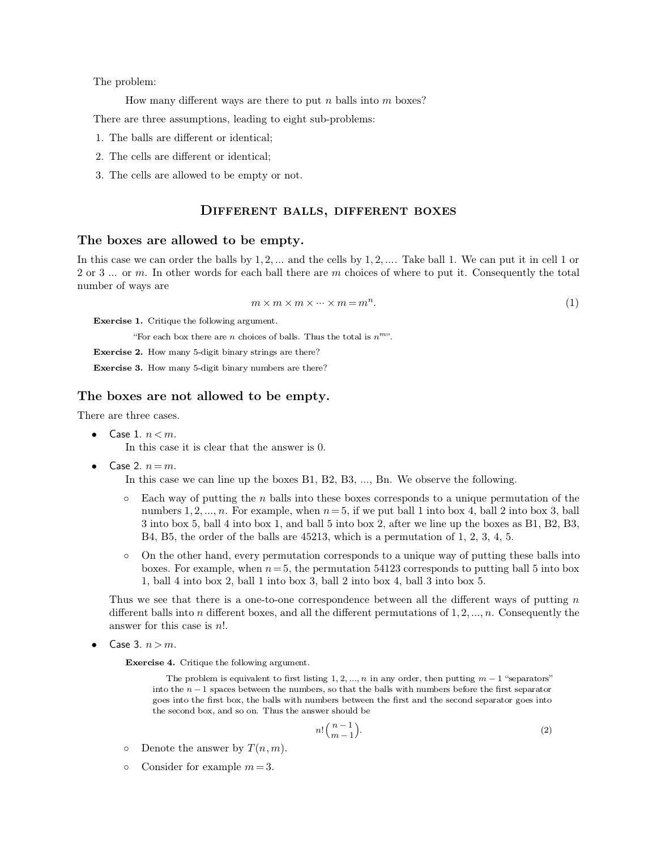The problem:<br>How many

The problem:<br>How many different ways are there to put  $n$  balls into  $m$  boxes?

The problem:<br>
How many different ways are there to put *n* balls into *m* if<br>
There are three assumptions, leading to eight sub-problems:<br>
1. The balls are different or identical; The problem:<br>
How many different ways are there there<br>
There are three assumptions, leading to eig<br>
1. The balls are different or identical;<br>
2. The cells are different or identical; 12. How many different ways are there<br>
2. The balls are different or identical;<br>
2. The cells are different or identical;<br>
3. The cells are allowed to be empty or no There are three assumptions, leading to eight sub-<br>1. The balls are different or identical;<br>2. The cells are different or identical;<br>3. The cells are allowed to be empty or not.

- 
- 
- 

# ent or identical;<br>ent or identical;<br>d to be empty or not.<br>**DIFFERENT BALLS, DIFFERENT BOXES**<br>wed to be empty.

3. The cells are allowed to be empty or not.<br> **DIFFERENT BALLS,**<br> **The boxes are allowed to be empty.**<br>
In this case we can order the balls by 1,2,... and the c **INTERENT BALLS, DIFFERENT BOXES**<br> **In this case we can order the balls by 1**, 2, ... and the cells by 1, 2, .... Take ball 1. We can put it in cell 1 or<br>
2 or 3 ... or *m*. In other words for each ball there are *m* choic **2 DIFFERENT BALLS, DIFFERENT BOXES**<br> **2** or 3 ... or *m*. In other words for each ball there are *m* choices of where to put it. Consequently the total<br>
number of ways are **The boxes are allowed to be empty.**<br>In this case we can order the balls by 1,2, ... and the cells by 1,2, .... Take ball 1. We can put it in cell 1 or 2 or 3 ... or *m*. In other words for each ball there are *m* choices  *-*

$$
m \times m \times m \times \dots \times m = m^n. \tag{1}
$$

**Exercise 1.** Critique the following argument.

"For each box there are *n* choices of balls. Thus the total is  $n^{mv}$ .<br>**Exercise 2.** How many 5-digit binary strings are there?

 $m \times m \times m \times \cdots \times m$  = **Exercise 1.** Critique the following argument.<br>
"For each box there are *n* choices of balls. Thus the tot **Exercise 2.** How many 5-digit binary strings are there?<br> **Exercise 3.** How many 5-digit binar

**Exercise 1.** Critique the following argument.<br>
"For each box there are *n* choices of balls. Thus the total<br> **Exercise 2.** How many 5-digit binary strings are there?<br> **Exercise 3.** How many 5-digit binary numbers are ther

## **Exercise 1.** Critique the following argument.<br>
"For each box there are *n* choices of balls. Thus the tota<br> **Exercise 2.** How many 5-digit binary strings are there?<br> **Exercise 3.** How many 5-digit binary numbers are there

- Exercise 2. How many 5-digit binary strings are there?<br>
Exercise 3. How many 5-digit binary numbers are there?<br>
The boxes are not allowed to be empty.<br>
There are three cases.<br>
 Case 1.  $n < m$ .<br>
In this case it is clear th this case it is clear that the answer is 0.<br>  $n=m$ .<br>
this case we can line up the boxes B1, B2, B3, ..., Bn. We observe the following.<br>
Each way of putting the *n* balls into these boxes corresponds to a unique permutation  $n=m$ .<br>
shis case we can line up the boxes B1, B2, B3, ..., Bn. We observe the following.<br>
Each way of putting the *n* balls into these boxes corresponds to a unique permutation of the<br>
numbers 1, 2, ..., *n*. For example, In this case we can line up the boxes B1, B2, B3, ..., Bn. We observe the following.<br>  $\circ$  Each way of putting the *n* balls into these boxes corresponds to a unique permutation of the<br>
numbers 1, 2, ..., *n*. For example numbers 1, 2, ..., *n*. For example, when  $n = 5$ , if we put ball 1 into box 4, ball 2 into box 3, ball 3 into box 5, ball 4 into box 1, and ball 5 into box 2, after we line up the boxes as B1, B2, B3, B4, B5, the order of  $3$  into box 5, ball 4 into box 1, and ball 5 into box 2, after we line up the boxes as  $B1$ ,  $B2$ ,  $B3$ ,
	- B4, B5, the order of the balls are 45213, which is a permutation of 1, 2, 3, 4, 5.<br>
	o On the other hand, every permutation corresponds to a unique way of putting these balls into<br>
	boxes. For example, when  $n = 5$ , the perm

o On the other hand, every permutation corresponds to a unique way of putting these balls into boxes. For example, when  $n = 5$ , the permutation 54123 corresponds to putting ball 5 into box 1, ball 4 into box 2, ball 1 int boxes. For example, when  $n = 5$ , the pern<br>1, ball 4 into box 2, ball 1 into box 3, ball<br>Thus we see that there is a one-to-one corresp<br>different balls into *n* different boxes, and all the<br>answer for this case is *n*!.<br>**C** 

The problem is equivalent to first listing 1, 2, ..., *n* in any order, then putting  $m-1$  "separators"<br>The problem is equivalent to first listing 1, 2, ..., *n* in any order, then putting  $m-1$  "separators"<br>of the *n*  $$ ise 4. Critique the following argument.<br>
The problem is equivalent to first listing 1, 2, ..., *n* in any order, then putting  $m - 1$  "separators"<br>
into the  $n - 1$  spaces between the numbers, so that the balls with numbers ise 4. Critique the following argument.<br>The problem is equivalent to first listing 1, 2, ..., *n* in any order, then putting  $m - 1$  "separators" into the  $n - 1$  spaces between the numbers, so that the balls with numbers b **ise 4.** Critique the following argument.<br>
The problem is equivalent to first listing 1, 2, ..., *n* in any c<br>
into the *n* -1 spaces between the numbers, so that the balls w<br>
goes into the first box, the balls with numbe into the  $n-1$  spaces between the numbers,<br>goes into the first box, the balls with numbers,<br>goes into the first box, the balls with number<br>the second box, and so on. Thus the answe<br>n!<br> $n!$ <br>Onsider for example  $m = 3$ .

$$
n! \binom{n-1}{m-1}.\tag{2}
$$

- 
-